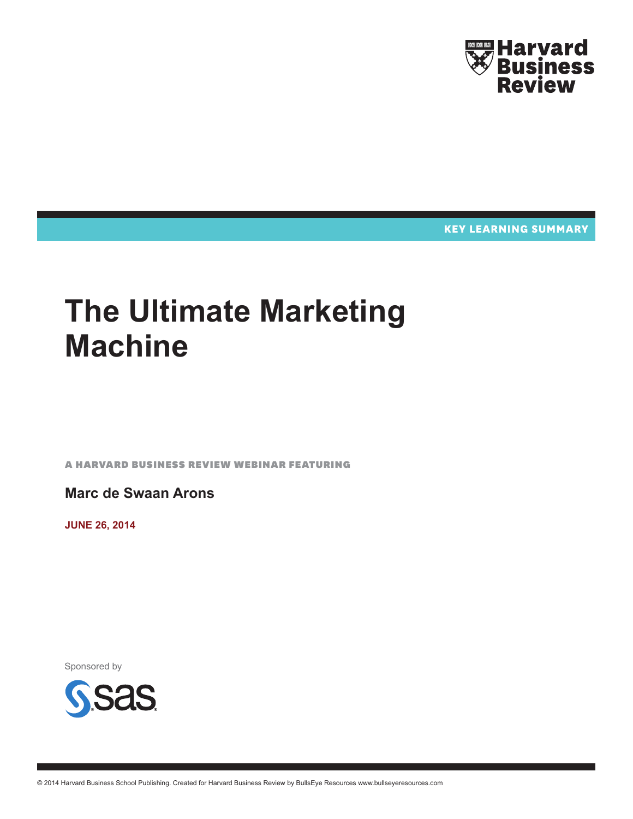

**KEY LEARNING SUMMARY** 

# **The Ultimate Marketing Machine**

A Harvard Business Review Webinar featuring

**Marc de Swaan Arons**

**June 26, 2014**

Sponsored by

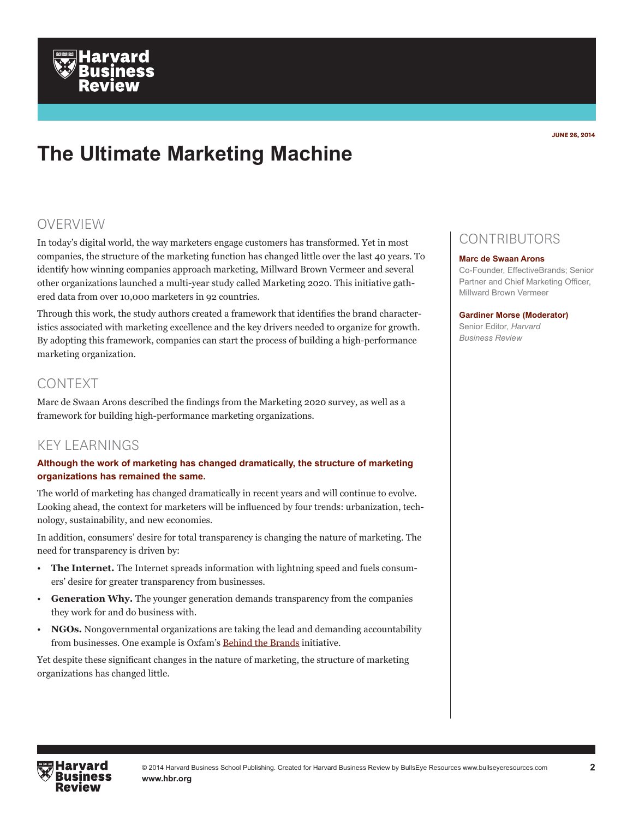## **The Ultimate Marketing Machine**

## OVERVIEW

In today's digital world, the way marketers engage customers has transformed. Yet in most companies, the structure of the marketing function has changed little over the last 40 years. To identify how winning companies approach marketing, Millward Brown Vermeer and several other organizations launched a multi-year study called Marketing 2020. This initiative gathered data from over 10,000 marketers in 92 countries.

Through this work, the study authors created a framework that identifies the brand characteristics associated with marketing excellence and the key drivers needed to organize for growth. By adopting this framework, companies can start the process of building a high-performance marketing organization.

## CONTEXT

Marc de Swaan Arons described the findings from the Marketing 2020 survey, as well as a framework for building high-performance marketing organizations.

## KEY LEARNINGS

### **Although the work of marketing has changed dramatically, the structure of marketing organizations has remained the same.**

The world of marketing has changed dramatically in recent years and will continue to evolve. Looking ahead, the context for marketers will be influenced by four trends: urbanization, technology, sustainability, and new economies.

In addition, consumers' desire for total transparency is changing the nature of marketing. The need for transparency is driven by:

- **The Internet.** The Internet spreads information with lightning speed and fuels consumers' desire for greater transparency from businesses.
- **Generation Why.** The younger generation demands transparency from the companies they work for and do business with.
- **NGOs.** Nongovernmental organizations are taking the lead and demanding accountability from businesses. One example is Oxfam's [Behind the Brands](http://www.oxfam.org/en/grow/campaigns/behind-brands) initiative.

Yet despite these significant changes in the nature of marketing, the structure of marketing organizations has changed little.

## **CONTRIBUTORS**

#### **Marc de Swaan Arons**

Co-Founder, EffectiveBrands; Senior Partner and Chief Marketing Officer, Millward Brown Vermeer

#### **Gardiner Morse (Moderator)**

Senior Editor, *Harvard Business Review*

**June 26, 2014**

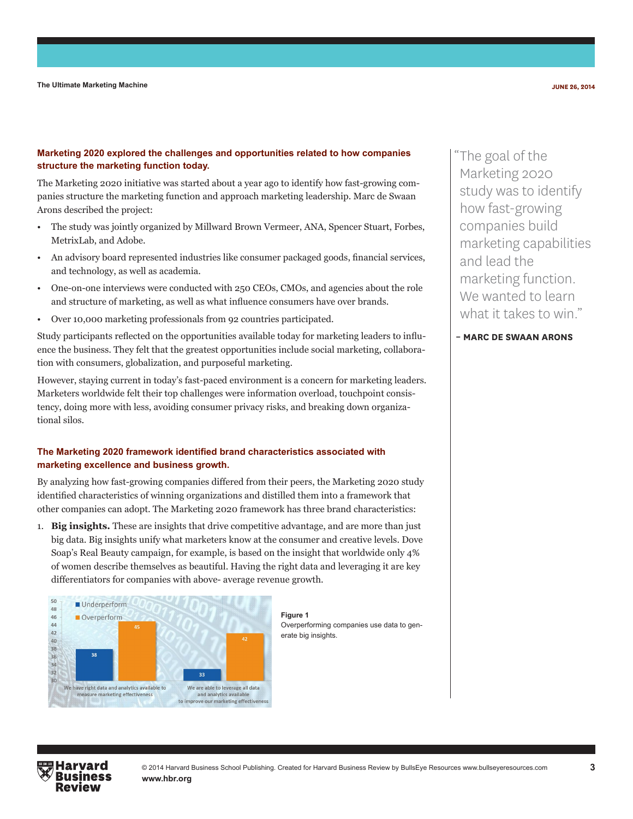#### **Marketing 2020 explored the challenges and opportunities related to how companies structure the marketing function today.**

The Marketing 2020 initiative was started about a year ago to identify how fast-growing companies structure the marketing function and approach marketing leadership. Marc de Swaan Arons described the project:

- The study was jointly organized by Millward Brown Vermeer, ANA, Spencer Stuart, Forbes, MetrixLab, and Adobe.
- An advisory board represented industries like consumer packaged goods, financial services, and technology, as well as academia.
- One-on-one interviews were conducted with 250 CEOs, CMOs, and agencies about the role and structure of marketing, as well as what influence consumers have over brands.
- Over 10,000 marketing professionals from 92 countries participated.

Study participants reflected on the opportunities available today for marketing leaders to influence the business. They felt that the greatest opportunities include social marketing, collaboration with consumers, globalization, and purposeful marketing.

However, staying current in today's fast-paced environment is a concern for marketing leaders. Marketers worldwide felt their top challenges were information overload, touchpoint consistency, doing more with less, avoiding consumer privacy risks, and breaking down organizational silos.

#### **The Marketing 2020 framework identified brand characteristics associated with marketing excellence and business growth.**

By analyzing how fast-growing companies differed from their peers, the Marketing 2020 study identified characteristics of winning organizations and distilled them into a framework that other companies can adopt. The Marketing 2020 framework has three brand characteristics:

1. **Big insights.** These are insights that drive competitive advantage, and are more than just big data. Big insights unify what marketers know at the consumer and creative levels. Dove Soap's Real Beauty campaign, for example, is based on the insight that worldwide only 4% of women describe themselves as beautiful. Having the right data and leveraging it are key differentiators for companies with above- average revenue growth.



**Figure 1** Overperforming companies use data to generate big insights.

"The goal of the Marketing 2020 study was to identify how fast-growing companies build marketing capabilities and lead the marketing function. We wanted to learn what it takes to win."

**– Marc de Swaan Arons**

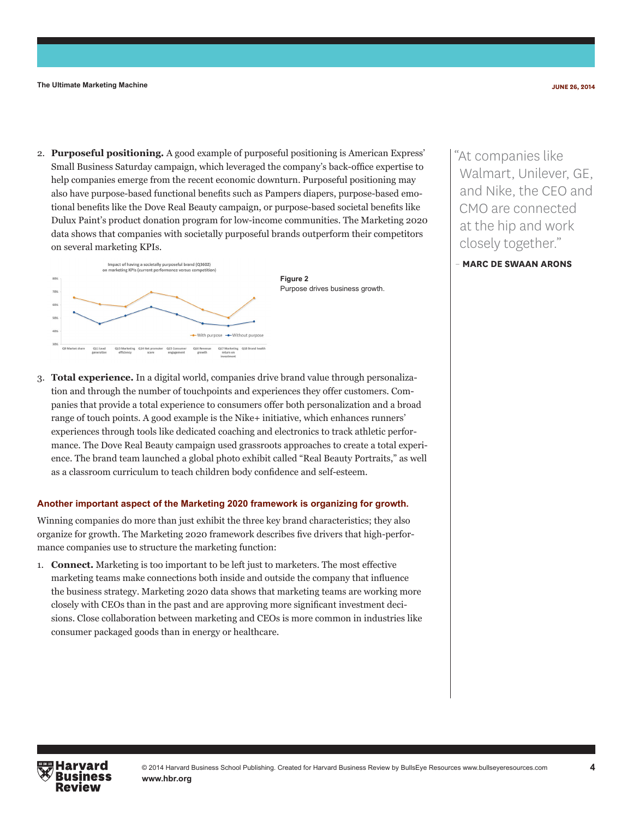2. **Purposeful positioning.** A good example of purposeful positioning is American Express' Small Business Saturday campaign, which leveraged the company's back-office expertise to help companies emerge from the recent economic downturn. Purposeful positioning may also have purpose-based functional benefits such as Pampers diapers, purpose-based emotional benefits like the Dove Real Beauty campaign, or purpose-based societal benefits like Dulux Paint's product donation program for low-income communities. The Marketing 2020 data shows that companies with societally purposeful brands outperform their competitors on several marketing KPIs.



"At companies like Walmart, Unilever, GE, and Nike, the CEO and CMO are connected at the hip and work closely together."

– **Marc de Swaan Arons**

3. **Total experience.** In a digital world, companies drive brand value through personalization and through the number of touchpoints and experiences they offer customers. Companies that provide a total experience to consumers offer both personalization and a broad range of touch points. A good example is the Nike+ initiative, which enhances runners' experiences through tools like dedicated coaching and electronics to track athletic performance. The Dove Real Beauty campaign used grassroots approaches to create a total experience. The brand team launched a global photo exhibit called "Real Beauty Portraits," as well as a classroom curriculum to teach children body confidence and self-esteem.

#### **Another important aspect of the Marketing 2020 framework is organizing for growth.**

Winning companies do more than just exhibit the three key brand characteristics; they also organize for growth. The Marketing 2020 framework describes five drivers that high-performance companies use to structure the marketing function:

1. **Connect.** Marketing is too important to be left just to marketers. The most effective marketing teams make connections both inside and outside the company that influence the business strategy. Marketing 2020 data shows that marketing teams are working more closely with CEOs than in the past and are approving more significant investment decisions. Close collaboration between marketing and CEOs is more common in industries like consumer packaged goods than in energy or healthcare.

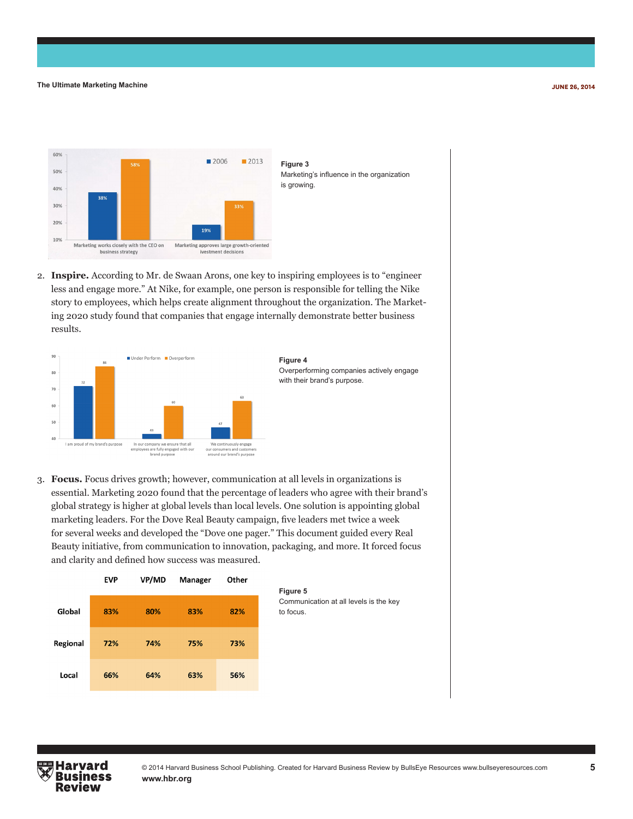

**Figure 3**  Marketing's influence in the organization is growing.

2. **Inspire.** According to Mr. de Swaan Arons, one key to inspiring employees is to "engineer less and engage more." At Nike, for example, one person is responsible for telling the Nike story to employees, which helps create alignment throughout the organization. The Marketing 2020 study found that companies that engage internally demonstrate better business results.



3. **Focus.** Focus drives growth; however, communication at all levels in organizations is essential. Marketing 2020 found that the percentage of leaders who agree with their brand's global strategy is higher at global levels than local levels. One solution is appointing global marketing leaders. For the Dove Real Beauty campaign, five leaders met twice a week for several weeks and developed the "Dove one pager." This document guided every Real Beauty initiative, from communication to innovation, packaging, and more. It forced focus and clarity and defined how success was measured.

|          | <b>EVP</b> | VP/MD | Manager | Other |
|----------|------------|-------|---------|-------|
| Global   | 83%        | 80%   | 83%     | 82%   |
| Regional | 72%        | 74%   | 75%     | 73%   |
| Local    | 66%        | 64%   | 63%     | 56%   |



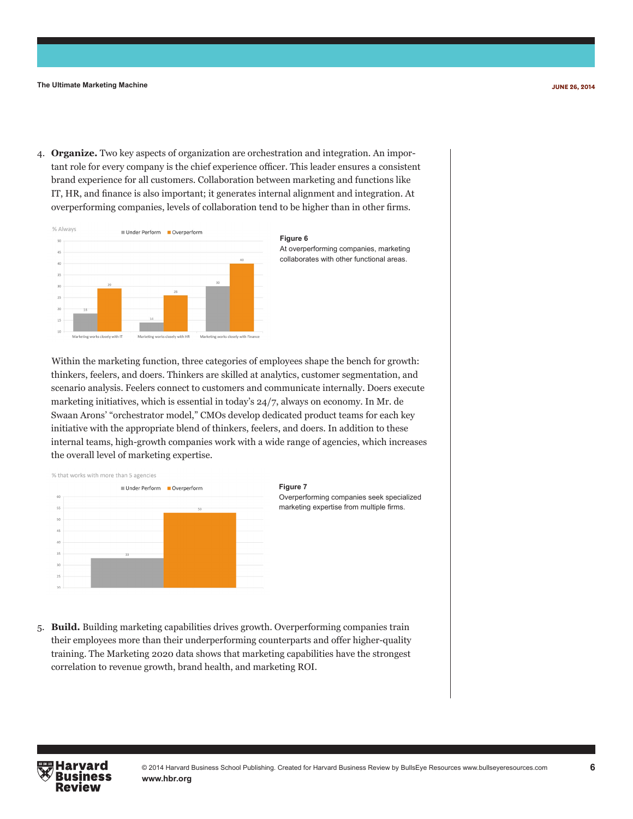4. **Organize.** Two key aspects of organization are orchestration and integration. An important role for every company is the chief experience officer. This leader ensures a consistent brand experience for all customers. Collaboration between marketing and functions like IT, HR, and finance is also important; it generates internal alignment and integration. At overperforming companies, levels of collaboration tend to be higher than in other firms.





Within the marketing function, three categories of employees shape the bench for growth: thinkers, feelers, and doers. Thinkers are skilled at analytics, customer segmentation, and scenario analysis. Feelers connect to customers and communicate internally. Doers execute marketing initiatives, which is essential in today's 24/7, always on economy. In Mr. de Swaan Arons' "orchestrator model," CMOs develop dedicated product teams for each key initiative with the appropriate blend of thinkers, feelers, and doers. In addition to these internal teams, high-growth companies work with a wide range of agencies, which increases the overall level of marketing expertise.



5. **Build.** Building marketing capabilities drives growth. Overperforming companies train their employees more than their underperforming counterparts and offer higher-quality training. The Marketing 2020 data shows that marketing capabilities have the strongest correlation to revenue growth, brand health, and marketing ROI.

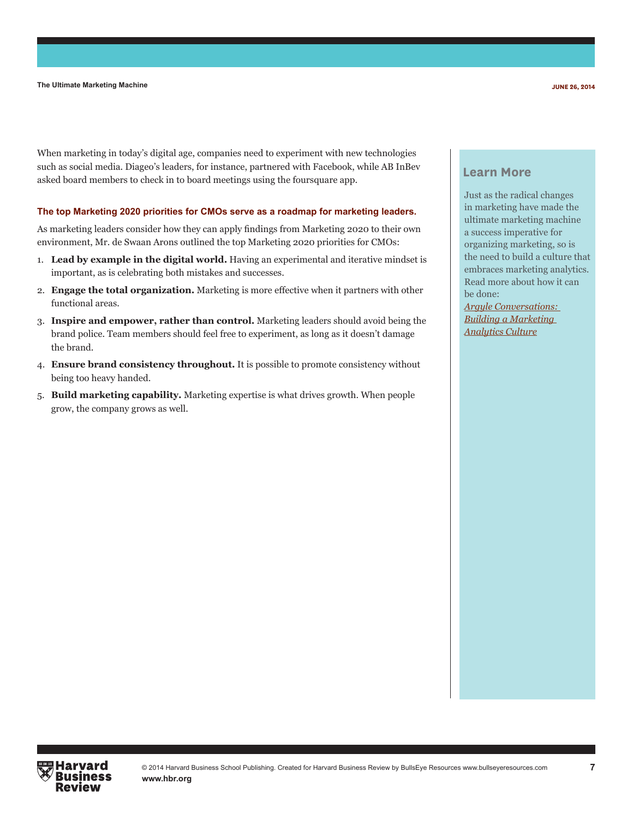When marketing in today's digital age, companies need to experiment with new technologies such as social media. Diageo's leaders, for instance, partnered with Facebook, while AB InBev asked board members to check in to board meetings using the foursquare app.

#### **The top Marketing 2020 priorities for CMOs serve as a roadmap for marketing leaders.**

As marketing leaders consider how they can apply findings from Marketing 2020 to their own environment, Mr. de Swaan Arons outlined the top Marketing 2020 priorities for CMOs:

- 1. **Lead by example in the digital world.** Having an experimental and iterative mindset is important, as is celebrating both mistakes and successes.
- 2. **Engage the total organization.** Marketing is more effective when it partners with other functional areas.
- 3. **Inspire and empower, rather than control.** Marketing leaders should avoid being the brand police. Team members should feel free to experiment, as long as it doesn't damage the brand.
- 4. **Ensure brand consistency throughout.** It is possible to promote consistency without being too heavy handed.
- 5. **Build marketing capability.** Marketing expertise is what drives growth. When people grow, the company grows as well.

#### **Learn More**

Just as the radical changes in marketing have made the ultimate marketing machine a success imperative for organizing marketing, so is the need to build a culture that embraces marketing analytics. Read more about how it can be done:

*[Argyle Conversations:](http://www.sas.com/en_us/whitepapers/argyle-conversations-building-marketing-analytics-culture-106021.html)  [Building a Marketing](http://www.sas.com/en_us/whitepapers/argyle-conversations-building-marketing-analytics-culture-106021.html)  [Analytics Culture](http://www.sas.com/en_us/whitepapers/argyle-conversations-building-marketing-analytics-culture-106021.html)*